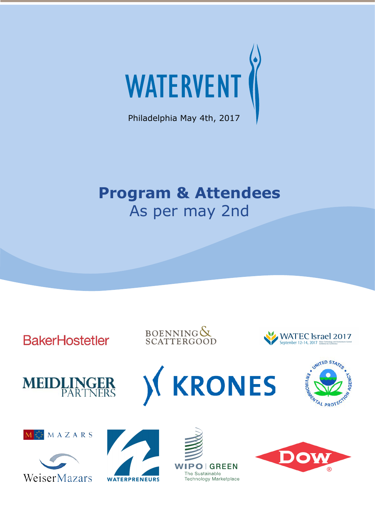

Philadelphia May 4th, 2017

# **Program & Attendees** As per may 2nd

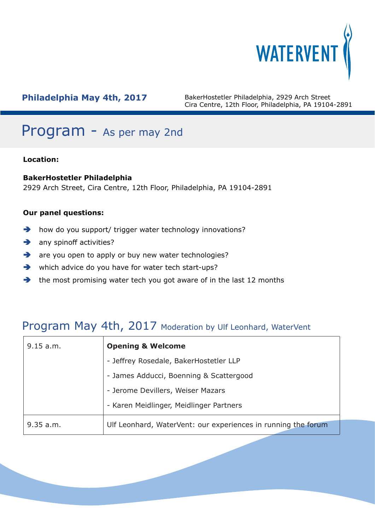

## Program - As per may 2nd

## **Location:**

### **BakerHostetler Philadelphia**

2929 Arch Street, Cira Centre, 12th Floor, Philadelphia, PA 19104-2891

### **Our panel questions:**

- $\rightarrow$  how do you support/ trigger water technology innovations?
- $\rightarrow$  any spinoff activities?
- are you open to apply or buy new water technologies?
- which advice do you have for water tech start-ups?
- $\rightarrow$  the most promising water tech you got aware of in the last 12 months

## Program May 4th, 2017 Moderation by Ulf Leonhard, WaterVent

| 9.15 a.m.                         | <b>Opening &amp; Welcome</b>                                  |  |  |
|-----------------------------------|---------------------------------------------------------------|--|--|
|                                   | - Jeffrey Rosedale, BakerHostetler LLP                        |  |  |
|                                   | - James Adducci, Boenning & Scattergood                       |  |  |
| - Jerome Devillers, Weiser Mazars |                                                               |  |  |
|                                   | - Karen Meidlinger, Meidlinger Partners                       |  |  |
| 9.35 a.m.                         | Ulf Leonhard, WaterVent: our experiences in running the forum |  |  |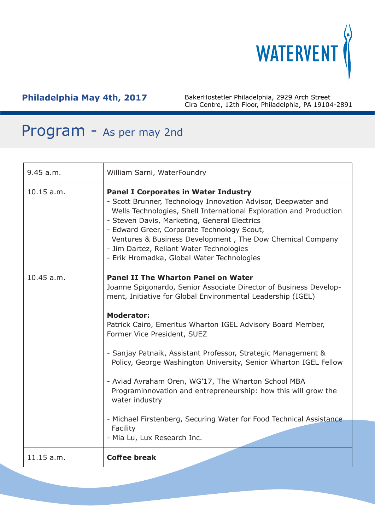

| 9.45 a.m.  | William Sarni, WaterFoundry                                                                                                                                                                                                                                                                                                                                                                                                                                                                                                                                                                                                                                                                         |
|------------|-----------------------------------------------------------------------------------------------------------------------------------------------------------------------------------------------------------------------------------------------------------------------------------------------------------------------------------------------------------------------------------------------------------------------------------------------------------------------------------------------------------------------------------------------------------------------------------------------------------------------------------------------------------------------------------------------------|
| 10.15 a.m. | <b>Panel I Corporates in Water Industry</b><br>- Scott Brunner, Technology Innovation Advisor, Deepwater and<br>Wells Technologies, Shell International Exploration and Production<br>- Steven Davis, Marketing, General Electrics<br>- Edward Greer, Corporate Technology Scout,<br>Ventures & Business Development, The Dow Chemical Company<br>- Jim Dartez, Reliant Water Technologies<br>- Erik Hromadka, Global Water Technologies                                                                                                                                                                                                                                                            |
| 10.45 a.m. | <b>Panel II The Wharton Panel on Water</b><br>Joanne Spigonardo, Senior Associate Director of Business Develop-<br>ment, Initiative for Global Environmental Leadership (IGEL)<br><b>Moderator:</b><br>Patrick Cairo, Emeritus Wharton IGEL Advisory Board Member,<br>Former Vice President, SUEZ<br>- Sanjay Patnaik, Assistant Professor, Strategic Management &<br>Policy, George Washington University, Senior Wharton IGEL Fellow<br>- Aviad Avraham Oren, WG'17, The Wharton School MBA<br>Programinnovation and entrepreneurship: how this will grow the<br>water industry<br>- Michael Firstenberg, Securing Water for Food Technical Assistance<br>Facility<br>- Mia Lu, Lux Research Inc. |
| 11.15 a.m. | <b>Coffee break</b>                                                                                                                                                                                                                                                                                                                                                                                                                                                                                                                                                                                                                                                                                 |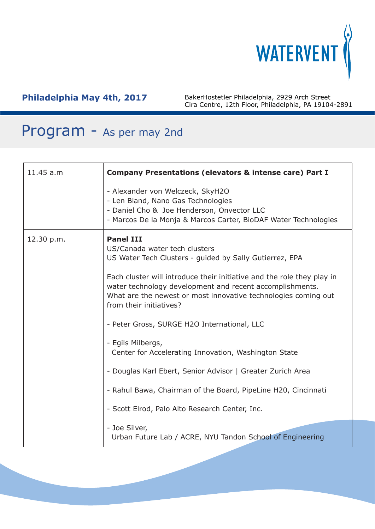

| 11.45 a.m  | <b>Company Presentations (elevators &amp; intense care) Part I</b>                                                                                                                                                              |  |  |  |
|------------|---------------------------------------------------------------------------------------------------------------------------------------------------------------------------------------------------------------------------------|--|--|--|
|            | - Alexander von Welczeck, SkyH2O<br>- Len Bland, Nano Gas Technologies<br>- Daniel Cho & Joe Henderson, Onvector LLC<br>- Marcos De la Monja & Marcos Carter, BioDAF Water Technologies                                         |  |  |  |
| 12.30 p.m. | <b>Panel III</b><br>US/Canada water tech clusters<br>US Water Tech Clusters - guided by Sally Gutierrez, EPA                                                                                                                    |  |  |  |
|            | Each cluster will introduce their initiative and the role they play in<br>water technology development and recent accomplishments.<br>What are the newest or most innovative technologies coming out<br>from their initiatives? |  |  |  |
|            | - Peter Gross, SURGE H2O International, LLC                                                                                                                                                                                     |  |  |  |
|            | - Egils Milbergs,<br>Center for Accelerating Innovation, Washington State                                                                                                                                                       |  |  |  |
|            | - Douglas Karl Ebert, Senior Advisor   Greater Zurich Area                                                                                                                                                                      |  |  |  |
|            | - Rahul Bawa, Chairman of the Board, PipeLine H20, Cincinnati                                                                                                                                                                   |  |  |  |
|            | - Scott Elrod, Palo Alto Research Center, Inc.                                                                                                                                                                                  |  |  |  |
|            | - Joe Silver,<br>Urban Future Lab / ACRE, NYU Tandon School of Engineering                                                                                                                                                      |  |  |  |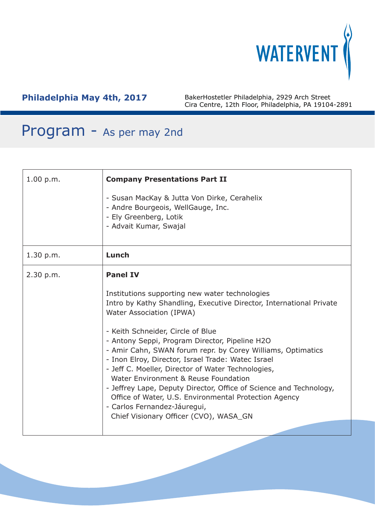

| 1.00 p.m. | <b>Company Presentations Part II</b>                                                                                                                                                                                                                                                                                                                                                                                                                                                                                                                                                                                                                                                    |  |  |
|-----------|-----------------------------------------------------------------------------------------------------------------------------------------------------------------------------------------------------------------------------------------------------------------------------------------------------------------------------------------------------------------------------------------------------------------------------------------------------------------------------------------------------------------------------------------------------------------------------------------------------------------------------------------------------------------------------------------|--|--|
|           | - Susan MacKay & Jutta Von Dirke, Cerahelix<br>- Andre Bourgeois, WellGauge, Inc.<br>- Ely Greenberg, Lotik<br>- Advait Kumar, Swajal                                                                                                                                                                                                                                                                                                                                                                                                                                                                                                                                                   |  |  |
| 1.30 p.m. | Lunch                                                                                                                                                                                                                                                                                                                                                                                                                                                                                                                                                                                                                                                                                   |  |  |
| 2.30 p.m. | <b>Panel IV</b><br>Institutions supporting new water technologies<br>Intro by Kathy Shandling, Executive Director, International Private<br>Water Association (IPWA)<br>- Keith Schneider, Circle of Blue<br>- Antony Seppi, Program Director, Pipeline H2O<br>- Amir Cahn, SWAN forum repr. by Corey Williams, Optimatics<br>- Inon Elroy, Director, Israel Trade: Watec Israel<br>- Jeff C. Moeller, Director of Water Technologies,<br>Water Environment & Reuse Foundation<br>- Jeffrey Lape, Deputy Director, Office of Science and Technology,<br>Office of Water, U.S. Environmental Protection Agency<br>- Carlos Fernandez-Jáuregui,<br>Chief Visionary Officer (CVO), WASA_GN |  |  |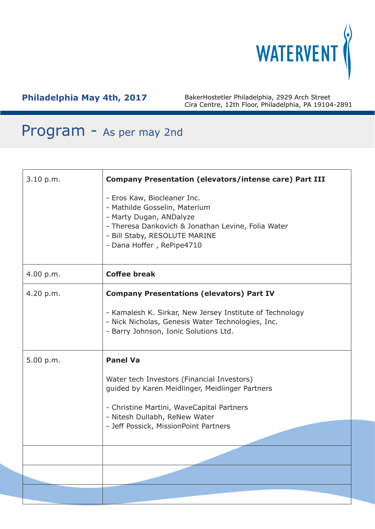

| 3.10 p.m. | <b>Company Presentation (elevators/intense care) Part III</b>                                                                                                                                               |  |  |
|-----------|-------------------------------------------------------------------------------------------------------------------------------------------------------------------------------------------------------------|--|--|
|           | - Eros Kaw, Biocleaner Inc.<br>- Mathilde Gosselin, Materium<br>- Marty Dugan, ANDalyze<br>- Theresa Dankovich & Jonathan Levine, Folia Water<br>- Bill Staby, RESOLUTE MARINE<br>- Dana Hoffer, RePipe4710 |  |  |
| 4.00 p.m. | <b>Coffee break</b>                                                                                                                                                                                         |  |  |
| 4.20 p.m. | <b>Company Presentations (elevators) Part IV</b><br>- Kamalesh K. Sirkar, New Jersey Institute of Technology<br>- Nick Nicholas, Genesis Water Technologies, Inc.                                           |  |  |
|           | - Barry Johnson, Ionic Solutions Ltd.                                                                                                                                                                       |  |  |
| 5.00 p.m. | <b>Panel Va</b>                                                                                                                                                                                             |  |  |
|           | Water tech Investors (Financial Investors)<br>guided by Karen Meidlinger, Meidlinger Partners                                                                                                               |  |  |
|           | - Christine Martini, WaveCapital Partners<br>- Nitesh Dullabh, ReNew Water                                                                                                                                  |  |  |
|           | - Jeff Possick, MissionPoint Partners                                                                                                                                                                       |  |  |
|           |                                                                                                                                                                                                             |  |  |
|           |                                                                                                                                                                                                             |  |  |
|           |                                                                                                                                                                                                             |  |  |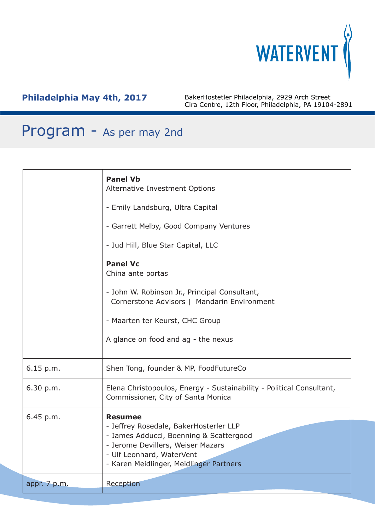

|              | <b>Panel Vb</b><br>Alternative Investment Options<br>- Emily Landsburg, Ultra Capital<br>- Garrett Melby, Good Company Ventures<br>- Jud Hill, Blue Star Capital, LLC<br><b>Panel Vc</b><br>China ante portas<br>- John W. Robinson Jr., Principal Consultant,<br>Cornerstone Advisors   Mandarin Environment<br>- Maarten ter Keurst, CHC Group<br>A glance on food and ag - the nexus |
|--------------|-----------------------------------------------------------------------------------------------------------------------------------------------------------------------------------------------------------------------------------------------------------------------------------------------------------------------------------------------------------------------------------------|
| 6.15 p.m.    | Shen Tong, founder & MP, FoodFutureCo                                                                                                                                                                                                                                                                                                                                                   |
| 6.30 p.m.    | Elena Christopoulos, Energy - Sustainability - Political Consultant,<br>Commissioner, City of Santa Monica                                                                                                                                                                                                                                                                              |
| 6.45 p.m.    | <b>Resumee</b>                                                                                                                                                                                                                                                                                                                                                                          |
|              | - Jeffrey Rosedale, BakerHosterler LLP<br>- James Adducci, Boenning & Scattergood                                                                                                                                                                                                                                                                                                       |
|              | - Jerome Devillers, Weiser Mazars<br>- Ulf Leonhard, WaterVent                                                                                                                                                                                                                                                                                                                          |
|              | - Karen Meidlinger, Meidlinger Partners                                                                                                                                                                                                                                                                                                                                                 |
| appr. 7 p.m. | Reception                                                                                                                                                                                                                                                                                                                                                                               |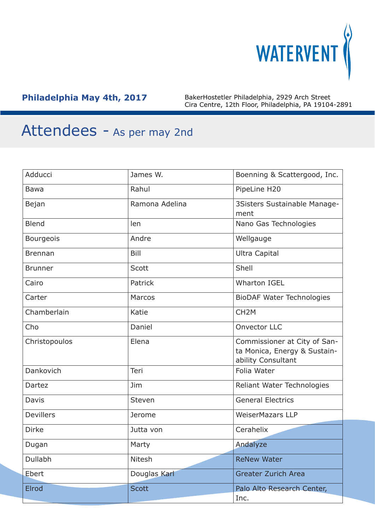

| Adducci          | James W.       | Boenning & Scattergood, Inc.                                                       |
|------------------|----------------|------------------------------------------------------------------------------------|
| <b>Bawa</b>      | Rahul          | PipeLine H20                                                                       |
| Bejan            | Ramona Adelina | 3Sisters Sustainable Manage-<br>ment                                               |
| <b>Blend</b>     | len            | Nano Gas Technologies                                                              |
| Bourgeois        | Andre          | Wellgauge                                                                          |
| <b>Brennan</b>   | Bill           | <b>Ultra Capital</b>                                                               |
| <b>Brunner</b>   | Scott          | Shell                                                                              |
| Cairo            | Patrick        | <b>Wharton IGEL</b>                                                                |
| Carter           | Marcos         | <b>BioDAF Water Technologies</b>                                                   |
| Chamberlain      | Katie          | CH <sub>2</sub> M                                                                  |
| Cho              | Daniel         | <b>Onvector LLC</b>                                                                |
| Christopoulos    | Elena          | Commissioner at City of San-<br>ta Monica, Energy & Sustain-<br>ability Consultant |
| Dankovich        | Teri           | Folia Water                                                                        |
| Dartez           | Jim            | Reliant Water Technologies                                                         |
| Davis            | Steven         | <b>General Electrics</b>                                                           |
| <b>Devillers</b> | Jerome         | <b>WeiserMazars LLP</b>                                                            |
| <b>Dirke</b>     | Jutta von      | Cerahelix                                                                          |
| Dugan            | Marty          | Andalyze                                                                           |
| Dullabh          | Nitesh         | <b>ReNew Water</b>                                                                 |
| Ebert            | Douglas Karl   | <b>Greater Zurich Area</b>                                                         |
| Elrod            | <b>Scott</b>   | Palo Alto Research Center,<br>Inc.                                                 |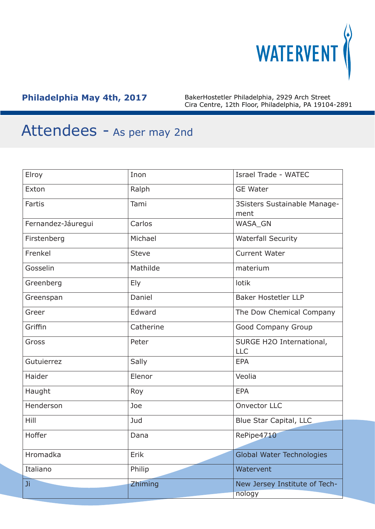

| Elroy              | Inon         | Israel Trade - WATEC                    |
|--------------------|--------------|-----------------------------------------|
| Exton              | Ralph        | <b>GE Water</b>                         |
| Fartis             | Tami         | 3Sisters Sustainable Manage-<br>ment    |
| Fernandez-Jáuregui | Carlos       | WASA_GN                                 |
| Firstenberg        | Michael      | <b>Waterfall Security</b>               |
| Frenkel            | <b>Steve</b> | <b>Current Water</b>                    |
| Gosselin           | Mathilde     | materium                                |
| Greenberg          | <b>Ely</b>   | lotik                                   |
| Greenspan          | Daniel       | <b>Baker Hostetler LLP</b>              |
| Greer              | Edward       | The Dow Chemical Company                |
| Griffin            | Catherine    | Good Company Group                      |
| Gross              | Peter        | SURGE H2O International,<br><b>LLC</b>  |
| Gutuierrez         | Sally        | <b>EPA</b>                              |
| Haider             | Elenor       | Veolia                                  |
| Haught             | Roy          | <b>EPA</b>                              |
| Henderson          | Joe          | <b>Onvector LLC</b>                     |
| Hill               | Jud          | Blue Star Capital, LLC                  |
| Hoffer             | Dana         | RePipe4710                              |
| Hromadka           | Erik         | <b>Global Water Technologies</b>        |
| Italiano           | Philip       | Watervent                               |
| Ji                 | Zhiming      | New Jersey Institute of Tech-<br>nology |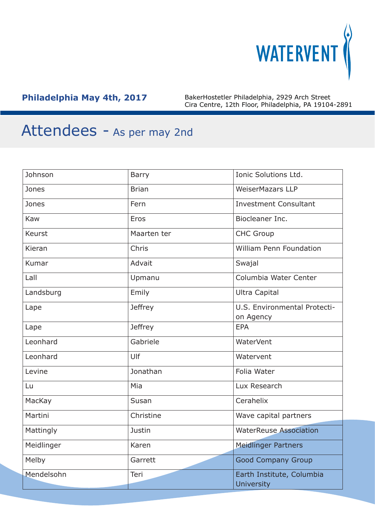

| Johnson       | <b>Barry</b>   | Ionic Solutions Ltd.                           |
|---------------|----------------|------------------------------------------------|
| Jones         | <b>Brian</b>   | <b>WeiserMazars LLP</b>                        |
| Jones         | Fern           | <b>Investment Consultant</b>                   |
| Kaw           | Eros           | Biocleaner Inc.                                |
| <b>Keurst</b> | Maarten ter    | <b>CHC Group</b>                               |
| Kieran        | Chris          | <b>William Penn Foundation</b>                 |
| Kumar         | Advait         | Swajal                                         |
| Lall          | Upmanu         | Columbia Water Center                          |
| Landsburg     | Emily          | <b>Ultra Capital</b>                           |
| Lape          | <b>Jeffrey</b> | U.S. Environmental Protecti-<br>on Agency      |
| Lape          | <b>Jeffrey</b> | <b>EPA</b>                                     |
| Leonhard      | Gabriele       | <b>WaterVent</b>                               |
| Leonhard      | Ulf            | Watervent                                      |
| Levine        | Jonathan       | Folia Water                                    |
| Lu            | Mia            | Lux Research                                   |
| MacKay        | Susan          | Cerahelix                                      |
| Martini       | Christine      | Wave capital partners                          |
| Mattingly     | Justin         | <b>WaterReuse Association</b>                  |
| Meidlinger    | Karen          | <b>Meidlinger Partners</b>                     |
| Melby         | Garrett        | <b>Good Company Group</b>                      |
| Mendelsohn    | Teri           | Earth Institute, Columbia<br><b>University</b> |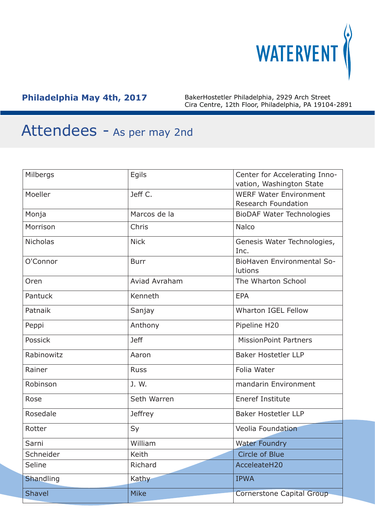

| Milbergs        | Egils          | Center for Accelerating Inno-         |
|-----------------|----------------|---------------------------------------|
|                 |                | vation, Washington State              |
| Moeller         | Jeff C.        | <b>WERF Water Environment</b>         |
|                 |                | <b>Research Foundation</b>            |
| Monja           | Marcos de la   | <b>BioDAF Water Technologies</b>      |
| Morrison        | Chris          | Nalco                                 |
| <b>Nicholas</b> | <b>Nick</b>    | Genesis Water Technologies,<br>Inc.   |
| O'Connor        | <b>Burr</b>    | BioHaven Environmental So-<br>lutions |
| Oren            | Aviad Avraham  | The Wharton School                    |
| Pantuck         | Kenneth        | <b>EPA</b>                            |
| Patnaik         | Sanjay         | <b>Wharton IGEL Fellow</b>            |
| Peppi           | Anthony        | Pipeline H20                          |
| Possick         | <b>Jeff</b>    | <b>MissionPoint Partners</b>          |
| Rabinowitz      | Aaron          | <b>Baker Hostetler LLP</b>            |
| Rainer          | <b>Russ</b>    | Folia Water                           |
| Robinson        | J. W.          | mandarin Environment                  |
| Rose            | Seth Warren    | <b>Eneref Institute</b>               |
| Rosedale        | <b>Jeffrey</b> | <b>Baker Hostetler LLP</b>            |
| Rotter          | Sy             | Veolia Foundation                     |
| Sarni           | William        | <b>Water Foundry</b>                  |
| Schneider       | Keith          | Circle of Blue                        |
| Seline          | Richard        | AcceleateH20                          |
| Shandling       | Kathy          | <b>IPWA</b>                           |
| <b>Shavel</b>   | <b>Mike</b>    | Cornerstone Capital Group             |